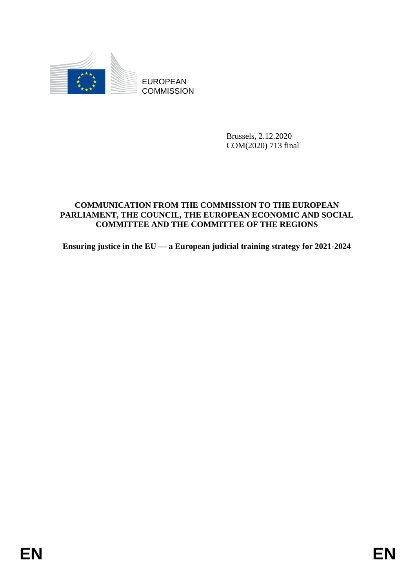

Brussels, 2.12.2020 COM(2020) 713 final

# EUROPEAN<br>
EUROPEAN<br>
ENGLANDSION<br>
COMMINICATION FROM THE COMMISSION TO THE EUROPEAN<br>
COMMITNICATION FROM THE COMMISSION TO THE RETORN<br>
PARTAMENT, THE COUNCH, THE PLINOPEAN ICONOMIC AND SOCTAL<br>
COMMITTEE AND THE COMMITTEE OF **COMMUNICATION FROM THE COMMISSION TO THE EUROPEAN PARLIAMENT, THE COUNCIL, THE EUROPEAN ECONOMIC AND SOCIAL COMMITTEE AND THE COMMITTEE OF THE REGIONS**

**Ensuring justice in the EU — a European judicial training strategy for 2021-2024**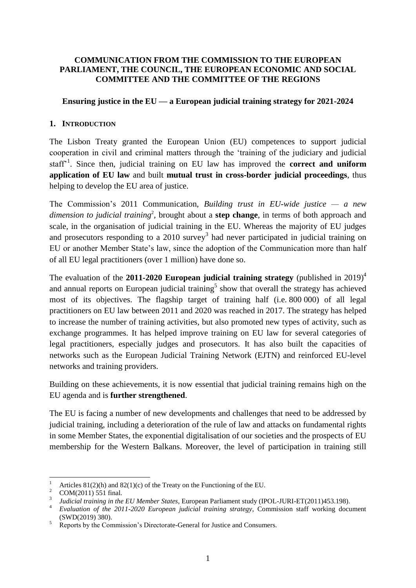#### **COMMUNICATION FROM THE COMMISSION TO THE EUROPEAN PARLIAMENT, THE COUNCIL, THE EUROPEAN ECONOMIC AND SOCIAL COMMITTEE AND THE COMMITTEE OF THE REGIONS**

#### **Ensuring justice in the EU — a European judicial training strategy for 2021-2024**

#### **1. INTRODUCTION**

The Lisbon Treaty granted the European Union (EU) competences to support judicial cooperation in civil and criminal matters through the 'training of the judiciary and judicial staff<sup>21</sup>. Since then, judicial training on EU law has improved the **correct and uniform application of EU law** and built **mutual trust in cross-border judicial proceedings**, thus helping to develop the EU area of justice.

The Commission's 2011 Communication, *Building trust in EU-wide justice — a new*  dimension to judicial training<sup>2</sup>, brought about a **step change**, in terms of both approach and scale, in the organisation of judicial training in the EU. Whereas the majority of EU judges and prosecutors responding to a  $2010$  survey<sup>3</sup> had never participated in judicial training on EU or another Member State's law, since the adoption of the Communication more than half of all EU legal practitioners (over 1 million) have done so.

The evaluation of the **2011-2020 European judicial training strategy** (published in 2019)<sup>4</sup> and annual reports on European judicial training<sup>5</sup> show that overall the strategy has achieved most of its objectives. The flagship target of training half (i.e. 800 000) of all legal practitioners on EU law between 2011 and 2020 was reached in 2017. The strategy has helped to increase the number of training activities, but also promoted new types of activity, such as exchange programmes. It has helped improve training on EU law for several categories of legal practitioners, especially judges and prosecutors. It has also built the capacities of networks such as the European Judicial Training Network (EJTN) and reinforced EU-level networks and training providers.

Building on these achievements, it is now essential that judicial training remains high on the EU agenda and is **further strengthened**.

The EU is facing a number of new developments and challenges that need to be addressed by judicial training, including a deterioration of the rule of law and attacks on fundamental rights in some Member States, the exponential digitalisation of our societies and the prospects of EU membership for the Western Balkans. Moreover, the level of participation in training still

**.** 

<sup>&</sup>lt;sup>1</sup> Articles 81(2)(h) and 82(1)(c) of the Treaty on the Functioning of the EU.

<sup>&</sup>lt;sup>2</sup> COM(2011) 551 final.

<sup>3</sup> *Judicial training in the EU Member States*, European Parliament study (IPOL-JURI-ET(2011)453.198).

<sup>4</sup> *Evaluation of the 2011-2020 European judicial training strategy*, Commission staff working document (SWD(2019) 380).

 $\frac{5}{5}$  Reports by the Commission's Directorate-General for Justice and Consumers.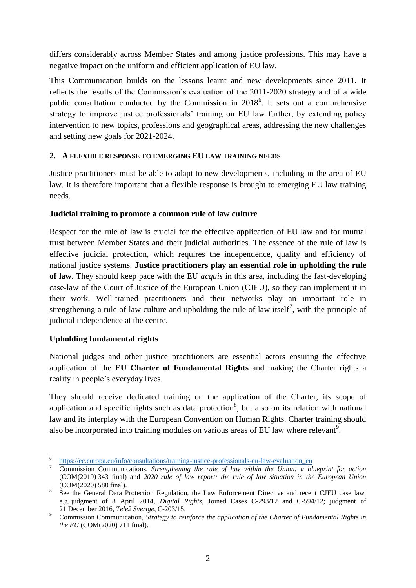differs considerably across Member States and among justice professions. This may have a negative impact on the uniform and efficient application of EU law.

This Communication builds on the lessons learnt and new developments since 2011. It reflects the results of the Commission's evaluation of the 2011-2020 strategy and of a wide public consultation conducted by the Commission in  $2018^6$ . It sets out a comprehensive strategy to improve justice professionals' training on EU law further, by extending policy intervention to new topics, professions and geographical areas, addressing the new challenges and setting new goals for 2021-2024.

## **2. A FLEXIBLE RESPONSE TO EMERGING EU LAW TRAINING NEEDS**

Justice practitioners must be able to adapt to new developments, including in the area of EU law. It is therefore important that a flexible response is brought to emerging EU law training needs.

## **Judicial training to promote a common rule of law culture**

Respect for the rule of law is crucial for the effective application of EU law and for mutual trust between Member States and their judicial authorities. The essence of the rule of law is effective judicial protection, which requires the independence, quality and efficiency of national justice systems. **Justice practitioners play an essential role in upholding the rule of law**. They should keep pace with the EU *acquis* in this area, including the fast-developing case-law of the Court of Justice of the European Union (CJEU), so they can implement it in their work. Well-trained practitioners and their networks play an important role in strengthening a rule of law culture and upholding the rule of law itself<sup>7</sup>, with the principle of judicial independence at the centre.

# **Upholding fundamental rights**

National judges and other justice practitioners are essential actors ensuring the effective application of the **EU Charter of Fundamental Rights** and making the Charter rights a reality in people's everyday lives.

They should receive dedicated training on the application of the Charter, its scope of application and specific rights such as data protection<sup>8</sup>, but also on its relation with national law and its interplay with the European Convention on Human Rights. Charter training should also be incorporated into training modules on various areas of EU law where relevant<sup>9</sup>.

 $\overline{a}$ 6 [https://ec.europa.eu/info/consultations/training-justice-professionals-eu-law-evaluation\\_en](https://ec.europa.eu/info/consultations/training-justice-professionals-eu-law-evaluation_en)

<sup>7</sup> Commission Communications, *Strengthening the rule of law within the Union: a blueprint for action* (COM(2019) 343 final) and *2020 rule of law report: the rule of law situation in the European Union* (COM(2020) 580 final).

<sup>&</sup>lt;sup>8</sup> See the General Data Protection Regulation, the Law Enforcement Directive and recent CJEU case law, e.g. judgment of 8 April 2014, *Digital Rights*, Joined Cases C-293/12 and C-594/12; judgment of 21 December 2016, *Tele2 Sverige*, C-203/15.

<sup>9</sup> Commission Communication, *Strategy to reinforce the application of the Charter of Fundamental Rights in the EU* (COM(2020) 711 final).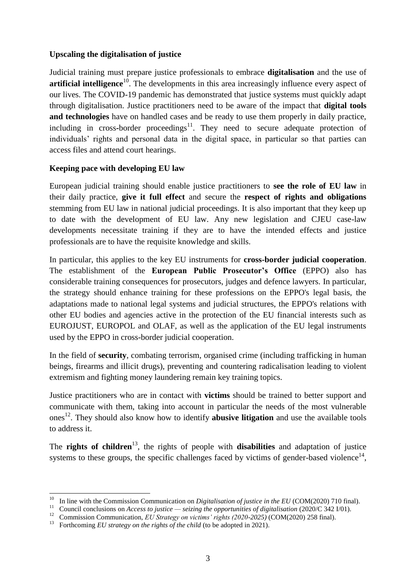## **Upscaling the digitalisation of justice**

Judicial training must prepare justice professionals to embrace **digitalisation** and the use of **artificial intelligence**<sup>10</sup>. The developments in this area increasingly influence every aspect of our lives. The COVID-19 pandemic has demonstrated that justice systems must quickly adapt through digitalisation. Justice practitioners need to be aware of the impact that **digital tools and technologies** have on handled cases and be ready to use them properly in daily practice, including in cross-border proceedings<sup>11</sup>. They need to secure adequate protection of individuals' rights and personal data in the digital space, in particular so that parties can access files and attend court hearings.

## **Keeping pace with developing EU law**

European judicial training should enable justice practitioners to **see the role of EU law** in their daily practice, **give it full effect** and secure the **respect of rights and obligations**  stemming from EU law in national judicial proceedings. It is also important that they keep up to date with the development of EU law. Any new legislation and CJEU case-law developments necessitate training if they are to have the intended effects and justice professionals are to have the requisite knowledge and skills.

In particular, this applies to the key EU instruments for **cross-border judicial cooperation**. The establishment of the **European Public Prosecutor's Office** (EPPO) also has considerable training consequences for prosecutors, judges and defence lawyers. In particular, the strategy should enhance training for these professions on the EPPO's legal basis, the adaptations made to national legal systems and judicial structures, the EPPO's relations with other EU bodies and agencies active in the protection of the EU financial interests such as EUROJUST, EUROPOL and OLAF, as well as the application of the EU legal instruments used by the EPPO in cross-border judicial cooperation.

In the field of **security**, combating terrorism, organised crime (including trafficking in human beings, firearms and illicit drugs), preventing and countering radicalisation leading to violent extremism and fighting money laundering remain key training topics.

Justice practitioners who are in contact with **victims** should be trained to better support and communicate with them, taking into account in particular the needs of the most vulnerable ones<sup>12</sup>. They should also know how to identify **abusive litigation** and use the available tools to address it.

The **rights of children**<sup>13</sup>, the rights of people with **disabilities** and adaptation of justice systems to these groups, the specific challenges faced by victims of gender-based violence $14$ ,

**<sup>.</sup>** <sup>10</sup> In line with the Commission Communication on *Digitalisation of justice in the EU* (COM(2020) 710 final).

<sup>11</sup> Council conclusions on *Access to justice — seizing the opportunities of digitalisation* (2020/C 342 I/01).

<sup>&</sup>lt;sup>12</sup> Commission Communication, *EU Strategy on victims' rights (2020-2025)* (COM(2020) 258 final).

<sup>&</sup>lt;sup>13</sup> Forthcoming *EU strategy on the rights of the child* (to be adopted in 2021).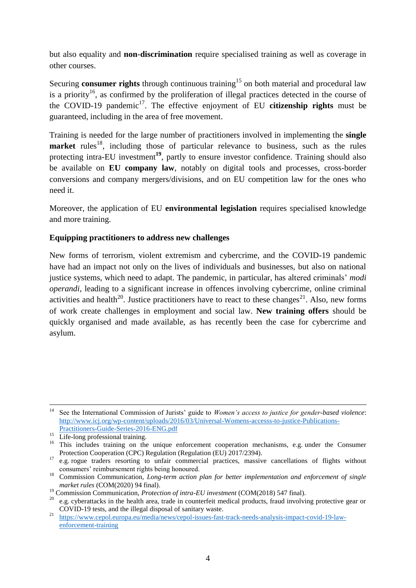but also equality and **non**-**discrimination** require specialised training as well as coverage in other courses.

Securing **consumer rights** through continuous training<sup>15</sup> on both material and procedural law is a priority<sup>16</sup>, as confirmed by the proliferation of illegal practices detected in the course of the COVID-19 pandemic<sup>17</sup>. The effective enjoyment of EU **citizenship rights** must be guaranteed, including in the area of free movement.

Training is needed for the large number of practitioners involved in implementing the **single market** rules<sup>18</sup>, including those of particular relevance to business, such as the rules protecting intra-EU investment<sup>19</sup>, partly to ensure investor confidence. Training should also be available on **EU company law**, notably on digital tools and processes, cross-border conversions and company mergers/divisions, and on EU competition law for the ones who need it.

Moreover, the application of EU **environmental legislation** requires specialised knowledge and more training.

## **Equipping practitioners to address new challenges**

New forms of terrorism, violent extremism and cybercrime, and the COVID-19 pandemic have had an impact not only on the lives of individuals and businesses, but also on national justice systems, which need to adapt. The pandemic, in particular, has altered criminals' *modi operandi*, leading to a significant increase in offences involving cybercrime, online criminal activities and health<sup>20</sup>. Justice practitioners have to react to these changes<sup>21</sup>. Also, new forms of work create challenges in employment and social law. **New training offers** should be quickly organised and made available, as has recently been the case for cybercrime and asylum.

<sup>1</sup> <sup>14</sup> See the International Commission of Jurists' guide to *Women's access to justice for gender-based violence*: [http://www.icj.org/wp-content/uploads/2016/03/Universal-Womens-accesss-to-justice-Publications-](http://www.icj.org/wp-content/uploads/2016/03/Universal-Womens-accesss-to-justice-Publications-Practitioners-Guide-Series-2016-ENG.pdf)

[Practitioners-Guide-Series-2016-ENG.pdf](http://www.icj.org/wp-content/uploads/2016/03/Universal-Womens-accesss-to-justice-Publications-Practitioners-Guide-Series-2016-ENG.pdf)

<sup>&</sup>lt;sup>15</sup> Life-long professional training.

<sup>&</sup>lt;sup>16</sup> This includes training on the unique enforcement cooperation mechanisms, e.g. under the Consumer Protection Cooperation (CPC) Regulation (Regulation (EU) 2017/2394).

<sup>&</sup>lt;sup>17</sup> e.g. rogue traders resorting to unfair commercial practices, massive cancellations of flights without consumers' reimbursement rights being honoured.

<sup>18</sup> Commission Communication, *Long-term action plan for better implementation and enforcement of single market rules* (COM(2020) 94 final).

<sup>19</sup> Commission Communication, *Protection of intra-EU investment* (COM(2018) 547 final).

<sup>20</sup> e.g. cyberattacks in the health area, trade in counterfeit medical products, fraud involving protective gear or COVID-19 tests, and the illegal disposal of sanitary waste.

<sup>21</sup> [https://www.cepol.europa.eu/media/news/cepol-issues-fast-track-needs-analysis-impact-covid-19-law](https://www.cepol.europa.eu/media/news/cepol-issues-fast-track-needs-analysis-impact-covid-19-law-enforcement-training)[enforcement-training](https://www.cepol.europa.eu/media/news/cepol-issues-fast-track-needs-analysis-impact-covid-19-law-enforcement-training)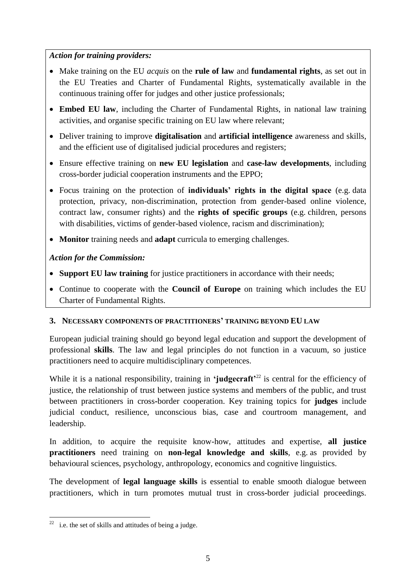# *Action for training providers:*

- Make training on the EU *acquis* on the **rule of law** and **fundamental rights**, as set out in the EU Treaties and Charter of Fundamental Rights, systematically available in the continuous training offer for judges and other justice professionals;
- **Embed EU law**, including the Charter of Fundamental Rights, in national law training activities, and organise specific training on EU law where relevant;
- Deliver training to improve **digitalisation** and **artificial intelligence** awareness and skills, and the efficient use of digitalised judicial procedures and registers;
- Ensure effective training on **new EU legislation** and **case-law developments**, including cross**-**border judicial cooperation instruments and the EPPO;
- Focus training on the protection of **individuals' rights in the digital space** (e.g. data protection, privacy, non-discrimination, protection from gender-based online violence, contract law, consumer rights) and the **rights of specific groups** (e.g. children, persons with disabilities, victims of gender-based violence, racism and discrimination);
- **Monitor** training needs and **adapt** curricula to emerging challenges.

## *Action for the Commission:*

- **Support EU law training** for justice practitioners in accordance with their needs;
- Continue to cooperate with the **Council of Europe** on training which includes the EU Charter of Fundamental Rights.

## **3. NECESSARY COMPONENTS OF PRACTITIONERS' TRAINING BEYOND EU LAW**

European judicial training should go beyond legal education and support the development of professional **skills**. The law and legal principles do not function in a vacuum, so justice practitioners need to acquire multidisciplinary competences.

While it is a national responsibility, training in **'judgecraft**<sup>22</sup> is central for the efficiency of justice, the relationship of trust between justice systems and members of the public, and trust between practitioners in cross**-**border cooperation. Key training topics for **judges** include judicial conduct, resilience, unconscious bias, case and courtroom management, and leadership.

In addition, to acquire the requisite know-how, attitudes and expertise, **all justice practitioners** need training on **non-legal knowledge and skills**, e.g. as provided by behavioural sciences, psychology, anthropology, economics and cognitive linguistics.

The development of **legal language skills** is essential to enable smooth dialogue between practitioners, which in turn promotes mutual trust in cross**-**border judicial proceedings.

**<sup>.</sup>**  $22$  i.e. the set of skills and attitudes of being a judge.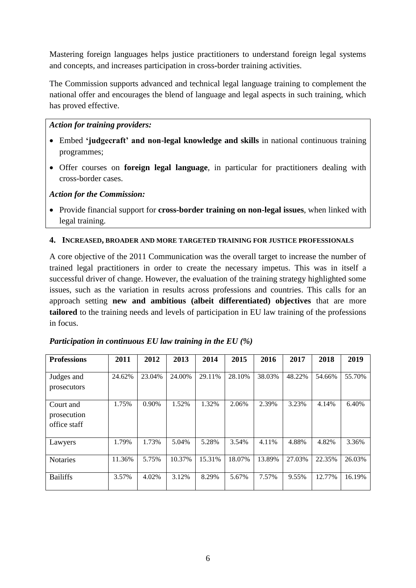Mastering foreign languages helps justice practitioners to understand foreign legal systems and concepts, and increases participation in cross**-**border training activities.

The Commission supports advanced and technical legal language training to complement the national offer and encourages the blend of language and legal aspects in such training, which has proved effective.

## *Action for training providers:*

- Embed **'judgecraft' and non-legal knowledge and skills** in national continuous training programmes;
- Offer courses on **foreign legal language**, in particular for practitioners dealing with cross-border cases.

## *Action for the Commission:*

 Provide financial support for **cross-border training on non-legal issues**, when linked with legal training.

#### **4. INCREASED, BROADER AND MORE TARGETED TRAINING FOR JUSTICE PROFESSIONALS**

A core objective of the 2011 Communication was the overall target to increase the number of trained legal practitioners in order to create the necessary impetus. This was in itself a successful driver of change. However, the evaluation of the training strategy highlighted some issues, such as the variation in results across professions and countries. This calls for an approach setting **new and ambitious (albeit differentiated) objectives** that are more **tailored** to the training needs and levels of participation in EU law training of the professions in focus.

| <b>Professions</b>                       | 2011   | 2012     | 2013   | 2014   | 2015   | 2016   | 2017   | 2018   | 2019   |
|------------------------------------------|--------|----------|--------|--------|--------|--------|--------|--------|--------|
| Judges and<br>prosecutors                | 24.62% | 23.04%   | 24.00% | 29.11% | 28.10% | 38.03% | 48.22% | 54.66% | 55.70% |
| Court and<br>prosecution<br>office staff | 1.75%  | $0.90\%$ | 1.52%  | 1.32%  | 2.06%  | 2.39%  | 3.23%  | 4.14%  | 6.40%  |
| Lawyers                                  | 1.79%  | 1.73%    | 5.04%  | 5.28%  | 3.54%  | 4.11%  | 4.88%  | 4.82%  | 3.36%  |
| <b>Notaries</b>                          | 11.36% | 5.75%    | 10.37% | 15.31% | 18.07% | 13.89% | 27.03% | 22.35% | 26.03% |
| <b>Bailiffs</b>                          | 3.57%  | 4.02%    | 3.12%  | 8.29%  | 5.67%  | 7.57%  | 9.55%  | 12.77% | 16.19% |

*Participation in continuous EU law training in the EU (%)*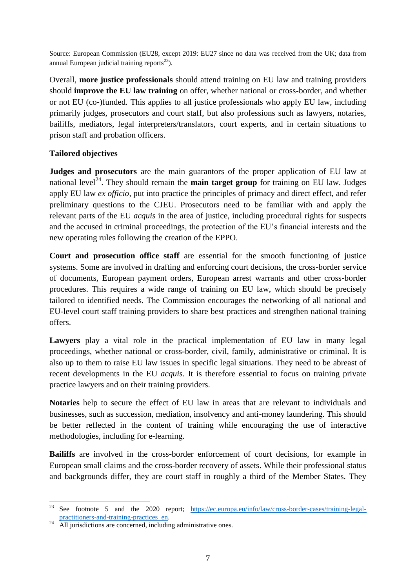Source: European Commission (EU28, except 2019: EU27 since no data was received from the UK; data from annual European judicial training reports $^{23}$ ).

Overall, **more justice professionals** should attend training on EU law and training providers should **improve the EU law training** on offer, whether national or cross**-**border, and whether or not EU (co**-**)funded. This applies to all justice professionals who apply EU law, including primarily judges, prosecutors and court staff, but also professions such as lawyers, notaries, bailiffs, mediators, legal interpreters/translators, court experts, and in certain situations to prison staff and probation officers.

## **Tailored objectives**

**Judges and prosecutors** are the main guarantors of the proper application of EU law at national level<sup>24</sup>. They should remain the **main target group** for training on EU law. Judges apply EU law *ex officio*, put into practice the principles of primacy and direct effect, and refer preliminary questions to the CJEU. Prosecutors need to be familiar with and apply the relevant parts of the EU *acquis* in the area of justice, including procedural rights for suspects and the accused in criminal proceedings, the protection of the EU's financial interests and the new operating rules following the creation of the EPPO.

**Court and prosecution office staff** are essential for the smooth functioning of justice systems. Some are involved in drafting and enforcing court decisions, the cross**-**border service of documents, European payment orders, European arrest warrants and other cross**-**border procedures. This requires a wide range of training on EU law, which should be precisely tailored to identified needs. The Commission encourages the networking of all national and EU-level court staff training providers to share best practices and strengthen national training offers.

**Lawyers** play a vital role in the practical implementation of EU law in many legal proceedings, whether national or cross**-**border, civil, family, administrative or criminal. It is also up to them to raise EU law issues in specific legal situations. They need to be abreast of recent developments in the EU *acquis*. It is therefore essential to focus on training private practice lawyers and on their training providers.

**Notaries** help to secure the effect of EU law in areas that are relevant to individuals and businesses, such as succession, mediation, insolvency and anti-money laundering. This should be better reflected in the content of training while encouraging the use of interactive methodologies, including for e-learning.

**Bailiffs** are involved in the cross**-**border enforcement of court decisions, for example in European small claims and the cross**-**border recovery of assets. While their professional status and backgrounds differ, they are court staff in roughly a third of the Member States. They

<sup>23</sup> See footnote 5 and the 2020 report; [https://ec.europa.eu/info/law/cross-border-cases/training-legal](https://ec.europa.eu/info/law/cross-border-cases/training-legal-practitioners-and-training-practices_en)[practitioners-and-training-practices\\_en.](https://ec.europa.eu/info/law/cross-border-cases/training-legal-practitioners-and-training-practices_en)

All jurisdictions are concerned, including administrative ones.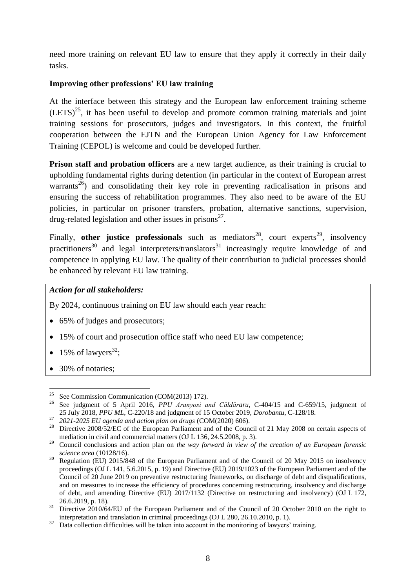need more training on relevant EU law to ensure that they apply it correctly in their daily tasks.

## **Improving other professions' EU law training**

At the interface between this strategy and the European law enforcement training scheme  $(LETS)^{25}$ , it has been useful to develop and promote common training materials and joint training sessions for prosecutors, judges and investigators. In this context, the fruitful cooperation between the EJTN and the European Union Agency for Law Enforcement Training (CEPOL) is welcome and could be developed further.

**Prison staff and probation officers** are a new target audience, as their training is crucial to upholding fundamental rights during detention (in particular in the context of European arrest warrants<sup>26</sup>) and consolidating their key role in preventing radicalisation in prisons and ensuring the success of rehabilitation programmes. They also need to be aware of the EU policies, in particular on prisoner transfers, probation, alternative sanctions, supervision, drug-related legislation and other issues in prisons<sup>27</sup>.

Finally, other justice professionals such as mediators<sup>28</sup>, court experts<sup>29</sup>, insolvency practitioners<sup>30</sup> and legal interpreters/translators<sup>31</sup> increasingly require knowledge of and competence in applying EU law. The quality of their contribution to judicial processes should be enhanced by relevant EU law training.

## *Action for all stakeholders:*

By 2024, continuous training on EU law should each year reach:

- 65% of judges and prosecutors:
- 15% of court and prosecution office staff who need EU law competence;
- 15% of lawyers<sup>32</sup>;
- 30% of notaries;

<sup>25</sup> <sup>25</sup> See Commission Communication (COM(2013) 172).<br><sup>26</sup> See indemnation f. 5, April 2016, *PBU* Arguesia gr

<sup>26</sup> See judgment of 5 April 2016, *PPU Aranyosi and Căldăraru*, C-404/15 and C-659/15, judgment of 25 July 2018, *PPU ML*, C-220/18 and judgment of 15 October 2019, *Dorobantu*, C-128/18.

<sup>27</sup> *2021-2025 EU agenda and action plan on drugs* (COM(2020) 606).

<sup>&</sup>lt;sup>28</sup> Directive 2008/52/EC of the European Parliament and of the Council of 21 May 2008 on certain aspects of mediation in civil and commercial matters (OJ L 136, 24.5.2008, p. 3).

<sup>29</sup> Council conclusions and action plan on *the way forward in view of the creation of an European forensic science area* (10128/16).

<sup>30</sup> Regulation (EU) 2015/848 of the European Parliament and of the Council of 20 May 2015 on insolvency proceedings (OJ L 141, 5.6.2015, p. 19) and Directive (EU) 2019/1023 of the European Parliament and of the Council of 20 June 2019 on preventive restructuring frameworks, on discharge of debt and disqualifications, and on measures to increase the efficiency of procedures concerning restructuring, insolvency and discharge of debt, and amending Directive (EU) 2017/1132 (Directive on restructuring and insolvency) (OJ L 172, 26.6.2019, p. 18).

<sup>&</sup>lt;sup>31</sup> Directive 2010/64/EU of the European Parliament and of the Council of 20 October 2010 on the right to interpretation and translation in criminal proceedings (OJ L 280, 26.10.2010, p. 1).

<sup>&</sup>lt;sup>32</sup> Data collection difficulties will be taken into account in the monitoring of lawyers' training.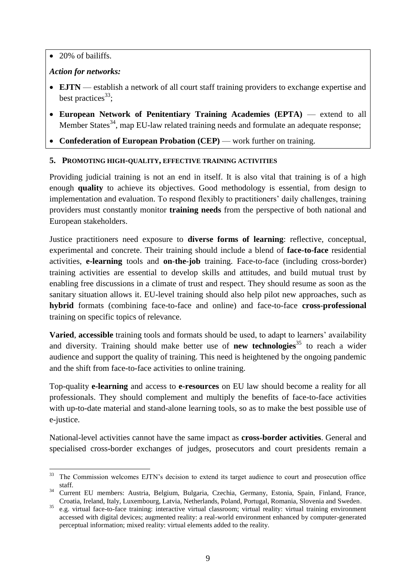• 20% of bailiffs.

# *Action for networks:*

- **EJTN** establish a network of all court staff training providers to exchange expertise and best practices<sup>33</sup>;
- **European Network of Penitentiary Training Academies (EPTA)** extend to all Member States<sup>34</sup>, map EU-law related training needs and formulate an adequate response;
- **Confederation of European Probation (CEP)** work further on training.

# **5. PROMOTING HIGH-QUALITY, EFFECTIVE TRAINING ACTIVITIES**

Providing judicial training is not an end in itself. It is also vital that training is of a high enough **quality** to achieve its objectives. Good methodology is essential, from design to implementation and evaluation. To respond flexibly to practitioners' daily challenges, training providers must constantly monitor **training needs** from the perspective of both national and European stakeholders.

Justice practitioners need exposure to **diverse forms of learning**: reflective, conceptual, experimental and concrete. Their training should include a blend of **face-to-face** residential activities, **e-learning** tools and **on**-**the**-**job** training. Face-to-face (including cross**-**border) training activities are essential to develop skills and attitudes, and build mutual trust by enabling free discussions in a climate of trust and respect. They should resume as soon as the sanitary situation allows it. EU-level training should also help pilot new approaches, such as **hybrid** formats (combining face-to-face and online) and face-to-face **cross**-**professional** training on specific topics of relevance.

**Varied**, **accessible** training tools and formats should be used, to adapt to learners' availability and diversity. Training should make better use of **new technologies**<sup>35</sup> to reach a wider audience and support the quality of training. This need is heightened by the ongoing pandemic and the shift from face-to-face activities to online training.

Top-quality **e-learning** and access to **e-resources** on EU law should become a reality for all professionals. They should complement and multiply the benefits of face-to-face activities with up-to-date material and stand-alone learning tools, so as to make the best possible use of e-justice.

National-level activities cannot have the same impact as **cross-border activities**. General and specialised cross**-**border exchanges of judges, prosecutors and court presidents remain a

 $33$ The Commission welcomes EJTN's decision to extend its target audience to court and prosecution office staff.

<sup>34</sup> Current EU members: Austria, Belgium, Bulgaria, Czechia, Germany, Estonia, Spain, Finland, France, Croatia, Ireland, Italy, Luxembourg, Latvia, Netherlands, Poland, Portugal, Romania, Slovenia and Sweden.

<sup>35</sup> e.g. virtual face-to-face training: interactive virtual classroom; virtual reality: virtual training environment accessed with digital devices; augmented reality: a real-world environment enhanced by computer-generated perceptual information; mixed reality: virtual elements added to the reality.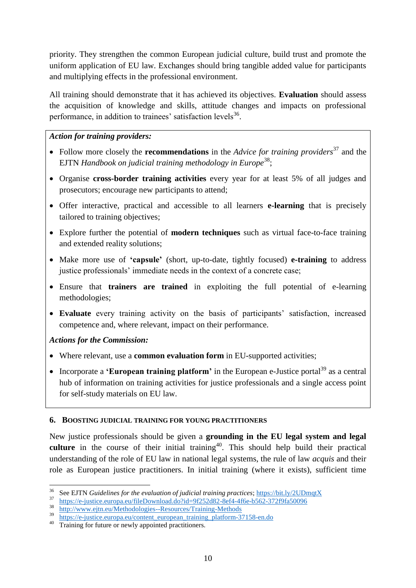priority. They strengthen the common European judicial culture, build trust and promote the uniform application of EU law. Exchanges should bring tangible added value for participants and multiplying effects in the professional environment.

All training should demonstrate that it has achieved its objectives. **Evaluation** should assess the acquisition of knowledge and skills, attitude changes and impacts on professional performance, in addition to trainees' satisfaction levels<sup>36</sup>.

## *Action for training providers:*

- Follow more closely the **recommendations** in the *Advice for training providers*<sup>37</sup> and the EJTN *Handbook on judicial training methodology in Europe*<sup>38</sup>;
- Organise **cross-border training activities** every year for at least 5% of all judges and prosecutors; encourage new participants to attend;
- Offer interactive, practical and accessible to all learners **e-learning** that is precisely tailored to training objectives;
- Explore further the potential of **modern techniques** such as virtual face-to-face training and extended reality solutions;
- Make more use of **'capsule'** (short, up-to-date, tightly focused) **e-training** to address justice professionals' immediate needs in the context of a concrete case;
- Ensure that **trainers are trained** in exploiting the full potential of e-learning methodologies;
- **Evaluate** every training activity on the basis of participants' satisfaction, increased competence and, where relevant, impact on their performance.

# *Actions for the Commission:*

- Where relevant, use a **common evaluation form** in EU-supported activities;
- Incorporate a **'European training platform'** in the European e-Justice portal<sup>39</sup> as a central hub of information on training activities for justice professionals and a single access point for self-study materials on EU law.

## **6. BOOSTING JUDICIAL TRAINING FOR YOUNG PRACTITIONERS**

New justice professionals should be given a **grounding in the EU legal system and legal**  culture in the course of their initial training<sup>40</sup>. This should help build their practical understanding of the role of EU law in national legal systems, the rule of law *acquis* and their role as European justice practitioners. In initial training (where it exists), sufficient time

<sup>36</sup> <sup>36</sup> See EJTN *Guidelines for the evaluation of judicial training practices*;<https://bit.ly/2UDmqtX>

<sup>&</sup>lt;sup>37</sup> <https://e-justice.europa.eu/fileDownload.do?id=9f252d82-8ef4-4f6e-b562-372f9fa50096><br><sup>38</sup> http://www.eith.eu/Mathodologies. Becourses/Training Mathods

 $\frac{38}{2}$  <http://www.ejtn.eu/Methodologies--Resources/Training-Methods>

[https://e-justice.europa.eu/content\\_european\\_training\\_platform-37158-en.do](https://e-justice.europa.eu/content_european_training_platform-37158-en.do)

<sup>&</sup>lt;sup>40</sup> Training for future or newly appointed practitioners.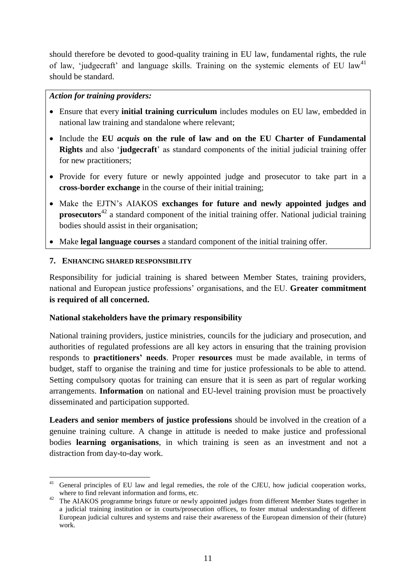should therefore be devoted to good-quality training in EU law, fundamental rights, the rule of law, 'judgecraft' and language skills. Training on the systemic elements of EU law<sup>41</sup> should be standard.

## *Action for training providers:*

- Ensure that every **initial training curriculum** includes modules on EU law, embedded in national law training and standalone where relevant;
- Include the **EU** *acquis* **on the rule of law and on the EU Charter of Fundamental Rights** and also '**judgecraft**' as standard components of the initial judicial training offer for new practitioners;
- Provide for every future or newly appointed judge and prosecutor to take part in a **cross**-**border exchange** in the course of their initial training;
- Make the EJTN's AIAKOS **exchanges for future and newly appointed judges and prosecutors**<sup>42</sup> a standard component of the initial training offer. National judicial training bodies should assist in their organisation;
- Make **legal language courses** a standard component of the initial training offer.

# **7. ENHANCING SHARED RESPONSIBILITY**

Responsibility for judicial training is shared between Member States, training providers, national and European justice professions' organisations, and the EU. **Greater commitment is required of all concerned.**

# **National stakeholders have the primary responsibility**

National training providers, justice ministries, councils for the judiciary and prosecution, and authorities of regulated professions are all key actors in ensuring that the training provision responds to **practitioners' needs**. Proper **resources** must be made available, in terms of budget, staff to organise the training and time for justice professionals to be able to attend. Setting compulsory quotas for training can ensure that it is seen as part of regular working arrangements. **Information** on national and EU-level training provision must be proactively disseminated and participation supported.

**Leaders and senior members of justice professions** should be involved in the creation of a genuine training culture. A change in attitude is needed to make justice and professional bodies **learning organisations**, in which training is seen as an investment and not a distraction from day-to-day work.

**<sup>.</sup>** General principles of EU law and legal remedies, the role of the CJEU, how judicial cooperation works, where to find relevant information and forms, etc.

<sup>&</sup>lt;sup>42</sup> The AIAKOS programme brings future or newly appointed judges from different Member States together in a judicial training institution or in courts/prosecution offices, to foster mutual understanding of different European judicial cultures and systems and raise their awareness of the European dimension of their (future) work.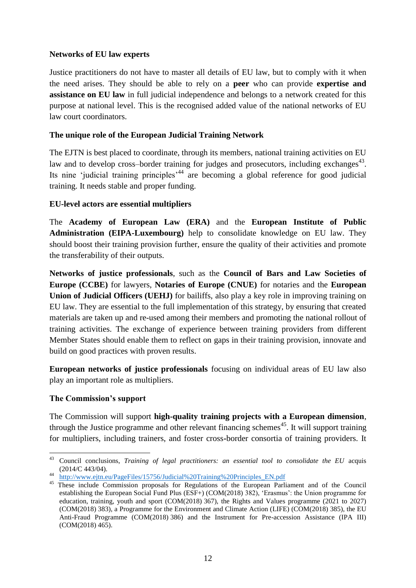## **Networks of EU law experts**

Justice practitioners do not have to master all details of EU law, but to comply with it when the need arises. They should be able to rely on a **peer** who can provide **expertise and assistance on EU law** in full judicial independence and belongs to a network created for this purpose at national level. This is the recognised added value of the national networks of EU law court coordinators.

### **The unique role of the European Judicial Training Network**

The EJTN is best placed to coordinate, through its members, national training activities on EU law and to develop cross-border training for judges and prosecutors, including exchanges $43$ . Its nine 'judicial training principles<sup> $44$ </sup> are becoming a global reference for good judicial training. It needs stable and proper funding.

#### **EU-level actors are essential multipliers**

The **Academy of European Law (ERA)** and the **European Institute of Public Administration (EIPA-Luxembourg)** help to consolidate knowledge on EU law. They should boost their training provision further, ensure the quality of their activities and promote the transferability of their outputs.

**Networks of justice professionals**, such as the **Council of Bars and Law Societies of Europe (CCBE)** for lawyers, **Notaries of Europe (CNUE)** for notaries and the **European Union of Judicial Officers (UEHJ)** for bailiffs, also play a key role in improving training on EU law. They are essential to the full implementation of this strategy, by ensuring that created materials are taken up and re-used among their members and promoting the national rollout of training activities. The exchange of experience between training providers from different Member States should enable them to reflect on gaps in their training provision, innovate and build on good practices with proven results.

**European networks of justice professionals** focusing on individual areas of EU law also play an important role as multipliers.

## **The Commission's support**

The Commission will support **high-quality training projects with a European dimension**, through the Justice programme and other relevant financing schemes<sup>45</sup>. It will support training for multipliers, including trainers, and foster cross**-**border consortia of training providers. It

<sup>43</sup> <sup>43</sup> Council conclusions, *Training of legal practitioners: an essential tool to consolidate the EU* acquis (2014/C 443/04).

<sup>44</sup> [http://www.ejtn.eu/PageFiles/15756/Judicial%20Training%20Principles\\_EN.pdf](http://www.ejtn.eu/PageFiles/15756/Judicial%20Training%20Principles_EN.pdf)

<sup>&</sup>lt;sup>45</sup> These include Commission proposals for Regulations of the European Parliament and of the Council establishing the European Social Fund Plus (ESF+) (COM(2018) 382), 'Erasmus': the Union programme for education, training, youth and sport (COM(2018) 367), the Rights and Values programme (2021 to 2027) (COM(2018) 383), a Programme for the Environment and Climate Action (LIFE) (COM(2018) 385), the EU Anti-Fraud Programme (COM(2018) 386) and the Instrument for Pre-accession Assistance (IPA III) (COM(2018) 465).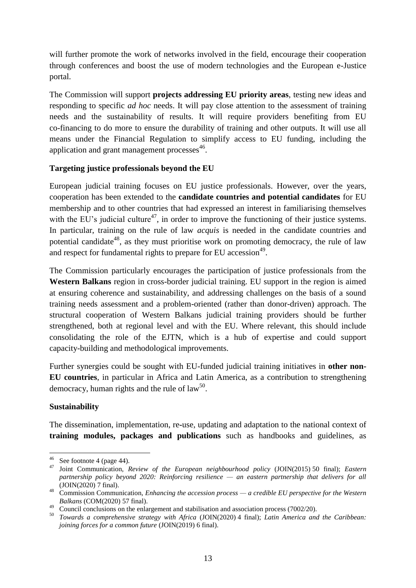will further promote the work of networks involved in the field, encourage their cooperation through conferences and boost the use of modern technologies and the European e-Justice portal.

The Commission will support **projects addressing EU priority areas**, testing new ideas and responding to specific *ad hoc* needs. It will pay close attention to the assessment of training needs and the sustainability of results. It will require providers benefiting from EU co-financing to do more to ensure the durability of training and other outputs. It will use all means under the Financial Regulation to simplify access to EU funding, including the application and grant management processes<sup>46</sup>.

## **Targeting justice professionals beyond the EU**

European judicial training focuses on EU justice professionals. However, over the years, cooperation has been extended to the **candidate countries and potential candidates** for EU membership and to other countries that had expressed an interest in familiarising themselves with the EU's judicial culture<sup>47</sup>, in order to improve the functioning of their justice systems. In particular, training on the rule of law *acquis* is needed in the candidate countries and potential candidate<sup>48</sup>, as they must prioritise work on promoting democracy, the rule of law and respect for fundamental rights to prepare for EU accession<sup>49</sup>.

The Commission particularly encourages the participation of justice professionals from the **Western Balkans** region in cross-border judicial training. EU support in the region is aimed at ensuring coherence and sustainability, and addressing challenges on the basis of a sound training needs assessment and a problem-oriented (rather than donor-driven) approach. The structural cooperation of Western Balkans judicial training providers should be further strengthened, both at regional level and with the EU. Where relevant, this should include consolidating the role of the EJTN, which is a hub of expertise and could support capacity-building and methodological improvements.

Further synergies could be sought with EU-funded judicial training initiatives in **other non-EU countries**, in particular in Africa and Latin America, as a contribution to strengthening democracy, human rights and the rule of  $law^{50}$ .

## **Sustainability**

The dissemination, implementation, re**-**use, updating and adaptation to the national context of **training modules, packages and publications** such as handbooks and guidelines, as

 $46\,$  $^{46}$  See footnote 4 (page 44).

<sup>47</sup> Joint Communication, *Review of the European neighbourhood policy* (JOIN(2015) 50 final); *Eastern partnership policy beyond 2020: Reinforcing resilience — an eastern partnership that delivers for all* (JOIN(2020) 7 final).

<sup>48</sup> Commission Communication, *Enhancing the accession process — a credible EU perspective for the Western Balkans* (COM(2020) 57 final).

<sup>&</sup>lt;sup>49</sup> Council conclusions on the enlargement and stabilisation and association process (7002/20).

<sup>50</sup> *Towards a comprehensive strategy with Africa* (JOIN(2020) 4 final); *Latin America and the Caribbean: joining forces for a common future* (JOIN(2019) 6 final).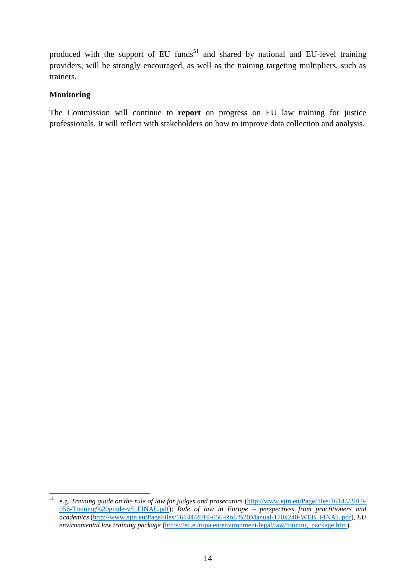produced with the support of EU funds<sup>51</sup> and shared by national and EU-level training providers, will be strongly encouraged, as well as the training targeting multipliers, such as trainers.

### **Monitoring**

The Commission will continue to **report** on progress on EU law training for justice professionals. It will reflect with stakeholders on how to improve data collection and analysis.

<sup>51</sup> <sup>51</sup> e.g. *Training guide on the rule of law for judges and prosecutors* [\(http://www.ejtn.eu/PageFiles/16144/2019-](http://www.ejtn.eu/PageFiles/16144/2019-056-Training%20guide-v5_FINAL.pdf) [056-Training%20guide-v5\\_FINAL.pdf\)](http://www.ejtn.eu/PageFiles/16144/2019-056-Training%20guide-v5_FINAL.pdf); *Rule of law in Europe – perspectives from practitioners and academics* [\(http://www.ejtn.eu/PageFiles/16144/2019-056-RoL%20Manual-170x240-WEB\\_FINAL.pdf\)](http://www.ejtn.eu/PageFiles/16144/2019-056-RoL%20Manual-170x240-WEB_FINAL.pdf), *EU environmental law training package* [\(https://ec.europa.eu/environment/legal/law/training\\_package.htm\)](https://ec.europa.eu/environment/legal/law/training_package.htm).